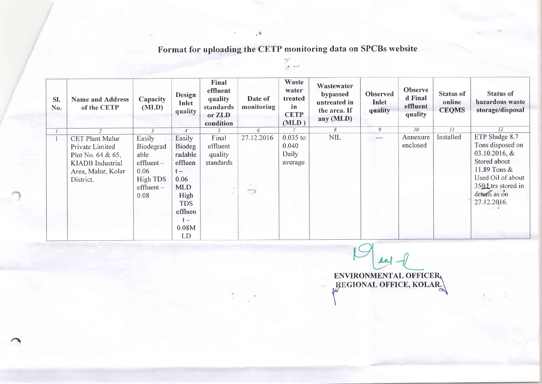Format for uploading the CETP monitoring data on SPCBs website

 $\frac{1}{\sqrt{2}}\sum_{i=1}^{n} \frac{1}{\sqrt{2}}\sum_{i=1}^{n} \frac{1}{\sqrt{2}}\sum_{i=1}^{n} \frac{1}{\sqrt{2}}\sum_{i=1}^{n} \frac{1}{\sqrt{2}}\sum_{i=1}^{n} \frac{1}{\sqrt{2}}\sum_{i=1}^{n} \frac{1}{\sqrt{2}}\sum_{i=1}^{n} \frac{1}{\sqrt{2}}\sum_{i=1}^{n} \frac{1}{\sqrt{2}}\sum_{i=1}^{n} \frac{1}{\sqrt{2}}\sum_{i=1}^{n} \frac{1}{\sqrt{2}}\sum_{i=1}^{n}$ 

| SI.<br>No. | <b>Name and Address</b><br>of the CETP                                                                                          | Capacity<br>(MLD)                                                                     | Design<br>Inlet<br>quality                                                                                                            | Final<br>effluent<br>quality<br>standards<br>or ZLD<br>condition | Date of<br>monitoring        | Waste<br>water<br>treated<br>in<br><b>CETP</b><br>(MLD) | Wastewater<br>bypassed<br>untreated in<br>the area. If<br>any (MLD) | <b>Observed</b><br>Inlet<br>quality                                                                                                                                                                                                                                                                                                                                                          | Observe<br>d Final<br>effluent<br>quality | <b>Status of</b><br>online<br><b>CEQMS</b> | <b>Status of</b><br>hazardous waste<br>storage/disposal                                                                                                         |
|------------|---------------------------------------------------------------------------------------------------------------------------------|---------------------------------------------------------------------------------------|---------------------------------------------------------------------------------------------------------------------------------------|------------------------------------------------------------------|------------------------------|---------------------------------------------------------|---------------------------------------------------------------------|----------------------------------------------------------------------------------------------------------------------------------------------------------------------------------------------------------------------------------------------------------------------------------------------------------------------------------------------------------------------------------------------|-------------------------------------------|--------------------------------------------|-----------------------------------------------------------------------------------------------------------------------------------------------------------------|
|            | 2                                                                                                                               | $\overline{3}$                                                                        | $\overline{4}$                                                                                                                        |                                                                  | 6                            | $\mathcal{T}$                                           | 8                                                                   | 9                                                                                                                                                                                                                                                                                                                                                                                            | 10                                        | 11                                         | 12                                                                                                                                                              |
|            | <b>CET Plant Malur</b><br>Private Limited<br>Plot No. $64 & 65$ ,<br><b>KIADB</b> Industrial<br>Area, Malur, Kolar<br>District. | Easily<br>Biodegrad<br>able<br>$eff -$<br>0.06<br>High TDS<br>$eff$ luent $-$<br>0.08 | Easily<br><b>Biodeg</b><br>radable<br>effluen<br>$t -$<br>0.06<br><b>MLD</b><br>High<br><b>TDS</b><br>effluen<br>$t -$<br>0.08M<br>LD | Final<br>effluent<br>quality<br>standards                        | 27.12.2016<br>$\sum_{i=1}^n$ | $0.035$ to<br>0.040<br>Daily<br>average                 | <b>NIL</b>                                                          | $\frac{1}{2} \frac{1}{2} \frac{1}{2} \frac{1}{2} \frac{1}{2} \frac{1}{2} \frac{1}{2} \frac{1}{2} \frac{1}{2} \frac{1}{2} \frac{1}{2} \frac{1}{2} \frac{1}{2} \frac{1}{2} \frac{1}{2} \frac{1}{2} \frac{1}{2} \frac{1}{2} \frac{1}{2} \frac{1}{2} \frac{1}{2} \frac{1}{2} \frac{1}{2} \frac{1}{2} \frac{1}{2} \frac{1}{2} \frac{1}{2} \frac{1}{2} \frac{1}{2} \frac{1}{2} \frac{1}{2} \frac{$ | Annexure<br>enclosed                      | Installed                                  | ETP Sludge 8.7<br>Tons disposed on<br>$03.10.2016, \&$<br>Stored about<br>11.89 Tons &<br>Used Oil of about<br>350 Ltrs stored in<br>druns as on<br>27.12.2016. |

 $\sim$ 

 $\mathcal{A}$ ENVIRONMENTAL OFFICER

 $\mathbf{A}$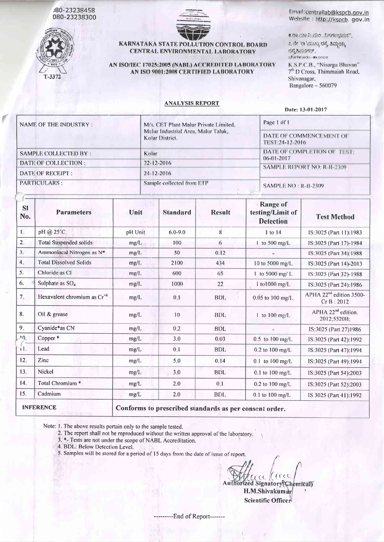J80-23238458 080-23238300



 $+1$  and  $+1$ 

## KARNATAKA STATE POLLUTION CONTROL BOARD CENTRAL ENVIRONMENTAL LABORATORY

AN ISO/IEC 17025:2005 (NABL) ACCREDITED LABORATORY AN ISO 9001:2008 CERTIFIED LABORATORY

### Email:centrallab@kspcb.gov.in Website: http://kspcb.gov.in

 $6.00.3302.550.7050$  (  $5.5001.553$ )

೭ ನೇ 'ಡಿ'ಮುಖ್ಯ ರಸ್ತೆ ತಿಮ್ಮಯ್ಯ date businstrict. cforisted - Me0000 K.S.P.C.B., "Nisarga Bhavan" 7<sup>th</sup> D Cross, Thimmaiah Road,

Shivanagar, Bangalore - 560079

### **ANALYSIS REPORT**

Date: 13-01-2017

| NAME OF THE INDUSTRY:       | M/s. CET Plant Malur Private Limited,                  | Page 1 of 1                                            |
|-----------------------------|--------------------------------------------------------|--------------------------------------------------------|
|                             | Malur Industrial Area, Malur Taluk,<br>Kolar District. | DATE OF COMMENCEMENT OF<br>TEST:24-12-2016             |
| <b>SAMPLE COLLECTED BY:</b> | Kolar                                                  | DATE OF COMPLETION OF TEST:                            |
| DATE OF COLLECTION :        | $22 - 12 - 2016$                                       | $06 - 01 - 2017$<br><b>SAMPLE REPORT NO: R-11-2309</b> |
| DATE OF RECEIPT :           | $24 - 12 - 2016$                                       |                                                        |
| <b>PARTICULARS:</b>         | Sample collected from ETP                              | <b>SAMPLE NO: R-11-2309</b>                            |

| <b>SI</b><br>No. | <b>Parameters</b>                       | Unit                                                   | <b>Standard</b>   | <b>Result</b> | <b>Range of</b><br>testing/Limit of<br><b>Detection</b> | <b>Test Method</b>                                |  |
|------------------|-----------------------------------------|--------------------------------------------------------|-------------------|---------------|---------------------------------------------------------|---------------------------------------------------|--|
| $L_{\star}$      | pH @ 25°C.                              | pH Unit                                                | $6.0 - 9.0$       | 8             | 1 to 14                                                 | IS:3025 (Part 11):1983                            |  |
| 2.               | <b>Total Suspended solids</b>           | mg/L                                                   | 100               | 6             | $\frac{1}{2}$ to 500 mg/L                               | IS:3025 (Part 17)-1984                            |  |
| 3.               | Ammoniacal Nitrogen as N*               | mg/L                                                   | 50                | 0.12          |                                                         | IS:3025 (Part 34):1988                            |  |
| 4.               | <b>Total Dissolved Solids</b>           | mg/L                                                   | 2100              | 434           | 10 to 5000 mg/L                                         | IS:3025 (Part 14)-2013                            |  |
| 5.               | Chloride as Cl                          | mp/L                                                   | 600               | 65            | 1 to 5000 mg/ $L$                                       | IS:3025 (Part 32)-1988                            |  |
| 6.               | Sulphate as $SO4$                       | mg/l.                                                  | 1000              | 22            | 1 to1000 mg/L                                           | IS:3025 (Part 24):1986                            |  |
| 7.               | Hexavalent chromium as Cr <sup>+6</sup> | mg/L                                                   | 0.1               | BDL           | $0.05$ to $100$ mg/L                                    | APHA 22 <sup>nd</sup> edition 3500-<br>Cr B: 2012 |  |
| 8.               | Oil & grease                            | mg/L                                                   | 10                | <b>BDL</b>    | $\perp$ to 100 mg/L                                     | APHA 22 <sup>nd</sup> edition.<br>2012;5520B;     |  |
| 9.               | Cyanide*as CN                           | mg/L                                                   | 0.2               | <b>BDL</b>    |                                                         | IS:3025 (Part 27)1986                             |  |
| 10.              | Copper*                                 | mg/L                                                   | 3.0               | 0.03          | $0.5$ to $100$ mg/L                                     | IS:3025 (Part 42):1992                            |  |
| τL.              | Lead                                    | mg/L                                                   | 0.1               | <b>BDL</b>    | $0.2$ to $100$ mg/L                                     | IS:3025 (Part 47):1994                            |  |
| 12.              | Zinc                                    | mg/L                                                   | 5.0               | 0.14          | $0.1$ to $100$ mg/L                                     | IS:3025 (Part 49):1994                            |  |
| 13.              | Nickel                                  | mg/L                                                   | 3,0               | <b>BDL</b>    | $0.1$ to $100$ mg/L                                     | IS:3025 (Part 54):2003                            |  |
| 14.              | Total Chromium <sup>*</sup>             | mg/L                                                   | 2.0               | 0.1           | $0.2$ to $100$ mg/L                                     | IS:3025 (Part 52):2003                            |  |
| 15.              | Cadmium                                 | mg/L                                                   | 2.0<br><b>BDL</b> |               | $0.1$ to $100$ mg/L                                     | IS 3025 (Part 41):1992                            |  |
|                  | <b>INFERENCE</b>                        | Conforms to prescribed standards as per consent order. |                   |               |                                                         |                                                   |  |

Note: 1. The above results pertain only to the sample tested.

2. The report shall not be reproduced without the written approval of the laboratory.

- 3. \*- Tests are not under the scope of NABL Accreditation.
- 4. BDL: Below Detection Level.
- 5. Samples will be stored for a period of 15 days from the date of issue of report.

rcall race

Authorized Signatory(Chemical) H.M.Shivakumar Scientific Officer

---------End of Report-------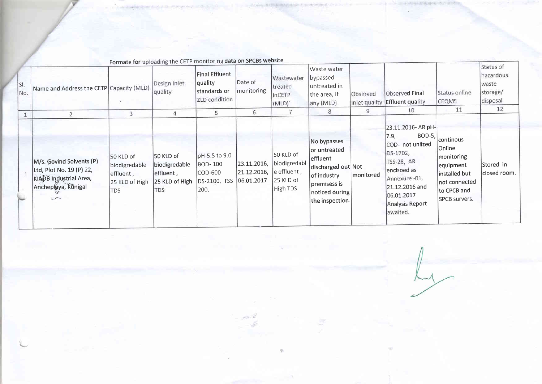| SI.<br>No. | Name and Address the CETP Capacity (MLD)                                                                          |                                                                         | Fullidle for uploading the CETT monitoring data on on oper<br>Design Inlet<br>quality | Final Effluent<br>quality<br>standards or<br>ZLD condition                     | Date of<br>monitoring      | Wastewater<br>treated<br>inCETP<br>(MLD)                          | Waste water<br>bypassed<br>unt: eated in<br> the area, if<br>any (MLD)                                                              | Observed<br>Inlet quality | <b>Observed Final</b><br><b>Effluent quality</b>                                                                                                                                  | Status online<br><b>CEQMS</b>                                                                                           | Status of<br>hazardous<br>waste<br>storage/<br>disposal<br>12 |
|------------|-------------------------------------------------------------------------------------------------------------------|-------------------------------------------------------------------------|---------------------------------------------------------------------------------------|--------------------------------------------------------------------------------|----------------------------|-------------------------------------------------------------------|-------------------------------------------------------------------------------------------------------------------------------------|---------------------------|-----------------------------------------------------------------------------------------------------------------------------------------------------------------------------------|-------------------------------------------------------------------------------------------------------------------------|---------------------------------------------------------------|
|            |                                                                                                                   | 3                                                                       | 4                                                                                     | 5                                                                              | 6                          |                                                                   | 8                                                                                                                                   | 9                         | 10                                                                                                                                                                                | 11                                                                                                                      |                                                               |
|            | M/s. Govind Solvents (P)<br>Ltd, Plot No. 19 (P) 22,<br>KIADB Industrial Area,<br>Ancheplaya, Künigal<br>بالعميلة | 50 KLD of<br>biodigredable<br>effluent,<br>25 KLD of High<br><b>TDS</b> | 50 KLD of<br> biodigredable_<br>effluent,<br>25 KLD of High<br><b>TDS</b>             | pH-5.5 to 9.0<br><b>BOD-100</b><br>COD-600<br>DS-2100, TSS- 06.01.2017<br>200, | 23.11.2016,<br>21.12.2016, | 50 KLD of<br>biodigredabl<br>e effluent,<br>25 KLD of<br>High TDS | No bypasses<br>or untreated<br>effluent<br>discharged out Not<br>of industry<br>premisess is<br> noticed during <br>the inspection. | <i>monitored</i>          | 23.11.2016- AR pH-<br>BOD-5,<br>7.9,<br>COD- not unlized<br>DS-1702,<br>TSS-28, AR<br>encisoed as<br>Annexure -01.<br>21.12.2016 and<br>06.01.2017<br>Analysis Report<br>awaited. | continous<br>Online<br>monitoring<br>equipment<br>installed but<br>not connected<br>to CPCB and<br><b>SPCB</b> survers. | Stored in<br>closed room.                                     |

Formate for uploading the CETP monitoring data on SPCBs website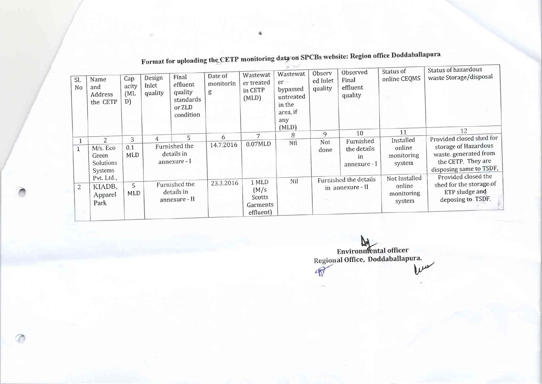| SI.<br>No      | Name<br>and<br>Address<br>the CETP                         | Cap<br>acity<br>[ML]<br>D) | Design<br>Inlet<br>quality                               | Final<br>effluent<br>quality<br>standards<br>or ZLD<br>condition | Date of<br>monitorin<br>g | Wastewat<br>er treated<br>in CETP<br>(MLD)        | the Charles<br>Wastewat<br>$er -$<br>bypassed<br>untreated<br>in the<br>area, if<br>any<br>(MLD) | Observ<br>ed Inlet<br>quality             | Observed<br>Final<br>effluent<br>quality       | Status of<br>online CEQMS                       | Status of hazardous<br>waste Storage/disposal                                                                              |
|----------------|------------------------------------------------------------|----------------------------|----------------------------------------------------------|------------------------------------------------------------------|---------------------------|---------------------------------------------------|--------------------------------------------------------------------------------------------------|-------------------------------------------|------------------------------------------------|-------------------------------------------------|----------------------------------------------------------------------------------------------------------------------------|
|                |                                                            |                            |                                                          | 5                                                                | 6                         | $7 -$                                             | 8                                                                                                | 9                                         | 10                                             | 11                                              | 12                                                                                                                         |
|                | $\mathcal{L}$<br>M/s. Eco<br>Green<br>Solutions<br>Systems | 3<br>0.1<br>MLD            | $\overline{4}$                                           | Furnished the<br>details in<br>annexure - I                      | 14.7.2016                 | 0.07MLD                                           | Nil                                                                                              | Not.<br>done                              | Furnished<br>the details<br>in<br>annexure - I | Installed<br>online<br>monitoring<br>system     | Provided closed shed for<br>storage of Hazardous<br>waste. generated from<br>the CETP. They are<br>disposing same to TSDF, |
| $\overline{2}$ | Pvt. Ltd.,<br>KIADB,<br>Apparel<br>Park                    |                            | Furnished the<br>5<br>details in<br>MLD<br>annexure - II |                                                                  | 23.3.2016                 | 1 MLD<br>(M/s)<br>Scotts<br>Garments<br>effluent) | Nil                                                                                              | Furnished the details<br>in annexure - II |                                                | Not Installed<br>online<br>monitoring<br>system | Provided closed the<br>shed for the storage of<br>ETP sludge and<br>deposing to TSDF.                                      |

Format for uploading the CETP monitoring data on SPCBs website: Region office Doddaballapura

Environmental officer<br>Regional Office, Doddaballapura.  $\mathbb{R}$ 

基

T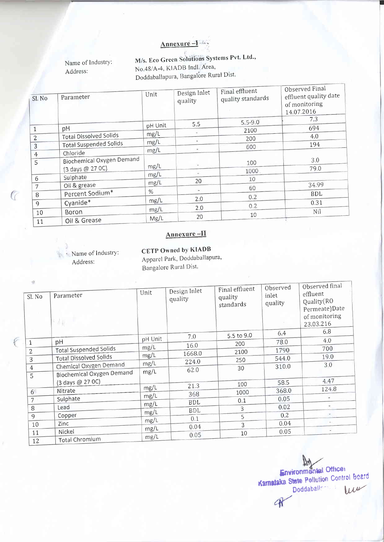Annexure -1

Name of Industry: Address:

M/s. Eco Green Solutions Systems Pvt. Ltd., No.48/A-4, KIADB Indl. Area, Doddaballapura, Bangalore Rural Dist.

| Sl. No         | Parameter                     | Unit    | Design Inlet<br>quality | Final effluent<br>quality standards | Observed Final<br>effluent quality date<br>of monitoring<br>14.07.2016 |
|----------------|-------------------------------|---------|-------------------------|-------------------------------------|------------------------------------------------------------------------|
|                |                               | pH Unit | 5.5                     | $5.5 - 9.0$                         | 7.3                                                                    |
|                | pH                            | mg/L    |                         | 2100                                | 694                                                                    |
| $\overline{2}$ | <b>Total Dissolved Solids</b> |         |                         | 200                                 | 4.0                                                                    |
| 3              | <b>Total Suspended Solids</b> | mg/L    |                         | 600                                 | 194                                                                    |
| $\overline{4}$ | Chloride                      | mg/L    |                         |                                     |                                                                        |
| 5              | Biochemical Oxygen Demand     | mg/L    |                         | 100                                 | 3.0                                                                    |
|                | (3 days @ 27 0C)              |         |                         | 1000                                | 79.0                                                                   |
| 6              | Sulphate                      | mg/L    | 20                      | 10                                  |                                                                        |
| 7              | Oil & grease                  | mg/L    |                         | 60                                  | 34.99                                                                  |
| 8              | Percent Sodium*               | $\%$    |                         |                                     | BDL                                                                    |
| 9              | Cyanide*                      | mg/L    | 2.0                     | 0.2                                 | 0.31                                                                   |
|                |                               | mg/L    | 2.0                     | 0.2                                 |                                                                        |
| 10<br>11       | <b>Boron</b><br>Oil & Grease  | Mg/L    | 20                      | 10                                  | Nil                                                                    |

# Annexure-II

Name of Industry: Address:

 $\overline{a}$ 

CETP Owned by KIADB Apparel Park, Doddaballapura, Bangalore Rural Dist.

| Sl. No         | Parameter<br>$\frac{1}{2}$ deg.  | Unit    | Design Inlet<br>quality | Final effluent<br>quality<br>standards | Observed<br>inlet<br>quality | Observed final<br>effluent<br>Quality (RO<br>Permeate)Date<br>of monitoring<br>23.03.216 |
|----------------|----------------------------------|---------|-------------------------|----------------------------------------|------------------------------|------------------------------------------------------------------------------------------|
|                |                                  | pH Unit | 7.0                     | 5.5 to 9.0                             | 6.4                          | 6.8                                                                                      |
| $\mathbf{1}$   | pH                               | mg/L    | 16.0                    | 200                                    | 78.0                         | 4.0                                                                                      |
| $\overline{2}$ | <b>Total Suspended Solids</b>    |         | 1668.0                  | 2100                                   | 1790                         | 700                                                                                      |
| 3              | <b>Total Dissolved Solids</b>    | mg/L    | 224.0                   | 250                                    | 544.0                        | 19.0                                                                                     |
| $\overline{4}$ | Chemical Oxygen Demand           | mg/L    | 62.0                    | 30                                     | 310.0                        | 3.0                                                                                      |
| 5              | <b>Biochemical Oxygen Demand</b> | mg/L    |                         |                                        |                              |                                                                                          |
|                | (3 days @ 27 OC)                 |         | 21.3                    | 100                                    | 58.5                         | 4.47                                                                                     |
| 6 <sup>1</sup> | Nitrate                          | mg/L    |                         | 1000                                   | 368.0                        | 124.8                                                                                    |
| $\overline{7}$ | Sulphate                         | mg/L    | 368                     | 0.1                                    | 0.05                         |                                                                                          |
| 8              | Lead                             | mg/L    | <b>BDL</b>              | 3                                      | 0.02                         |                                                                                          |
| 9              | Copper                           | mg/L    | <b>BDL</b>              | 5                                      | 0.2                          |                                                                                          |
| 10             | Zinc                             | mg/L    | 0.1                     | $\overline{3}$                         | 0.04                         | $\sim$                                                                                   |
|                | Nickel                           | mg/L    | 0.04                    |                                        | 0.05                         | Ξ                                                                                        |
| 11<br>12       | Total Chromium                   | mg/L    | 0.05                    | 10                                     |                              |                                                                                          |

 $M$ **Environmental Office:** Karnataka State Pollution Control Board Doddaballs = W 4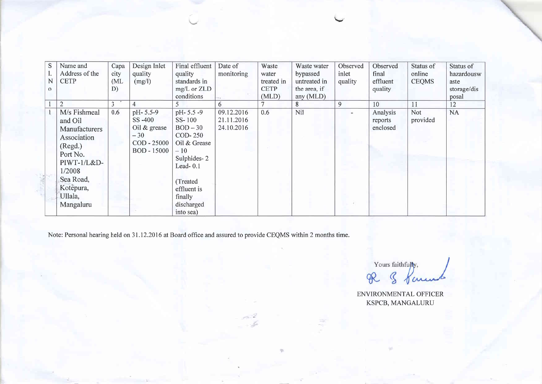| S        | Name and                                                                                                                                                  | Capa | Design Inlet                                                                       | Final effluent                                                                                                                                                    | Date of                                | Waste       | Waste water  | Observed | Observed                        | Status of       | Status of   |
|----------|-----------------------------------------------------------------------------------------------------------------------------------------------------------|------|------------------------------------------------------------------------------------|-------------------------------------------------------------------------------------------------------------------------------------------------------------------|----------------------------------------|-------------|--------------|----------|---------------------------------|-----------------|-------------|
|          | Address of the                                                                                                                                            | city | quality                                                                            | quality                                                                                                                                                           | monitoring                             | water       | bypassed     | inlet    | final                           | online          | hazardousw  |
| N        | <b>CETP</b>                                                                                                                                               | (ML) | (mg/l)                                                                             | standards in                                                                                                                                                      |                                        | treated in  | untreated in | quality  | effluent                        | <b>CEOMS</b>    | aste        |
| $\Omega$ |                                                                                                                                                           | D)   |                                                                                    | mg/L or ZLD                                                                                                                                                       |                                        | <b>CETP</b> | the area, if |          | quality                         |                 | storage/dis |
|          |                                                                                                                                                           |      |                                                                                    | conditions                                                                                                                                                        |                                        | (MLD)       | any $(MLD)$  |          |                                 |                 | posal       |
|          | 2                                                                                                                                                         | 3    | $\overline{4}$                                                                     | 5                                                                                                                                                                 | 6                                      |             | 8            | 9        | 10                              | 11              | 12          |
|          | M/s Fishmeal<br>and Oil<br>Manufacturers<br>Association<br>(Regd.)<br>Port No.<br>PIWT-1/L&D-<br>1/2008<br>Sea Road,<br>Kotèpura,<br>Ullala,<br>Mangaluru | 0.6  | pH-5.5-9<br>SS-400<br>Oil $&$ grease<br>$-30$<br>COD - 25000<br><b>BOD</b> - 15000 | pH-5.5-9<br>SS-100<br>$BOD-30$<br>COD-250<br>Oil & Grease<br>$-10$<br>Sulphides-2<br>Lead- $0.1$<br>(Treated<br>effluent is<br>finally<br>discharged<br>into sea) | 09.12.2016<br>21.11.2016<br>24.10.2016 | 0.6         | Nil          | ÷.       | Analysis<br>reports<br>enclosed | Not<br>provided | <b>NA</b>   |

Note: Personal hearing held on 31.12.2016 at Board office and assured to provide CEQMS within 2 months time.

Yours faithfully, R & Parents

ENVIRONMENTAL OFFICER KSPCB, MANGALURU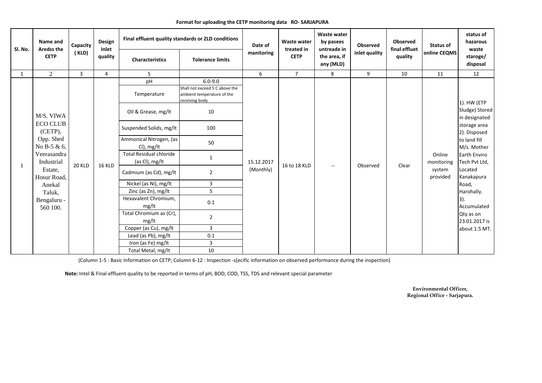|                              | Name and<br><b>Aredss the</b>                                                                    | Capacity       | Design<br>Inlet | Final effluent quality standards or ZLD conditions | Date of                                                                                             | Waste water<br>treated in | <b>Waste water</b><br>by pasees<br>untreade in | Observed                  | Observed<br>final effluet | <b>Status of</b> | status of<br>hazarous<br>waste |                                               |
|------------------------------|--------------------------------------------------------------------------------------------------|----------------|-----------------|----------------------------------------------------|-----------------------------------------------------------------------------------------------------|---------------------------|------------------------------------------------|---------------------------|---------------------------|------------------|--------------------------------|-----------------------------------------------|
| Sl. No.<br>1<br>$\mathbf{1}$ | <b>CETP</b>                                                                                      | (KLD)          | quality         | <b>Characteristics</b>                             | <b>Tolerance limits</b>                                                                             | manitoring                | <b>CETP</b>                                    | the area, if<br>any (MLD) | inlet quality             | quality          | online CEQMS                   | staroge/<br>disposal                          |
|                              | $\overline{2}$                                                                                   | $\overline{3}$ | 4               | 5                                                  |                                                                                                     | 6                         | 7 <sup>7</sup>                                 | 8                         | 9                         | 10               | 11                             | 12                                            |
|                              | M/S. VIWA<br><b>ECO CLUB</b><br>(CETP),<br>Opp. Shed<br>No B-5 & 6,<br>Veerasandra<br>Industrial |                |                 | pH<br>Temperature<br>Oil & Grease, mg/lt           | $6.0 - 9.0$<br>Shall not exceed 5 C above the<br>ambient temperature of the<br>receiving body<br>10 |                           |                                                |                           |                           |                  |                                | 1). HW (ETP<br>Sludge) Stored                 |
|                              |                                                                                                  |                | <b>16 KLD</b>   | Suspended Solids, mg/lt                            | 100                                                                                                 | 15.12.2017<br>(Monthly)   | 16 to 18 KLD                                   | $\overline{\phantom{a}}$  | Observed                  | Clear            | Online<br>monitoring           | in designated<br>storage area<br>2). Disposed |
|                              |                                                                                                  |                |                 | Ammonical Nitrogen, (as<br>CI), mg/lt              | 50                                                                                                  |                           |                                                |                           |                           |                  |                                | to land fill<br>M/s. Mother                   |
|                              |                                                                                                  | <b>20 KLD</b>  |                 | <b>Total Residual chloride</b><br>(as Cl), mg/lt   | $\mathbf{1}$                                                                                        |                           |                                                |                           |                           |                  |                                | <b>Earth Enviro</b><br>Tech Pvt Ltd,          |
|                              | Estate,<br>Hosur Road,                                                                           |                |                 | Cadmium (as Cd), mg/lt                             | $\overline{2}$                                                                                      |                           |                                                |                           |                           |                  | system<br>provided             | Located<br>Kanakapura                         |
|                              | Anekal                                                                                           |                |                 | Nickel (as Ni), mg/lt                              | $\mathbf{3}$                                                                                        |                           |                                                |                           |                           |                  |                                | Road,                                         |
|                              | Taluk,                                                                                           |                |                 | Zinc (as Zn), mg/lt                                | 5                                                                                                   |                           |                                                |                           |                           |                  |                                | Harohally.                                    |
|                              | Bengaluru -<br>560 100.                                                                          |                |                 | Hexavalent Chromium,<br>mg/lt                      | 0.1                                                                                                 |                           |                                                |                           |                           |                  |                                | $ 3)$ .<br>Accumulated                        |
|                              |                                                                                                  |                |                 | Total Chromium as (Cr),<br>mg/lt                   | $\overline{2}$                                                                                      |                           |                                                |                           |                           |                  |                                | Qty as on<br>23.01.2017 is                    |
|                              |                                                                                                  |                |                 | Copper (as Cu), mg/lt                              | 3                                                                                                   |                           |                                                |                           |                           |                  |                                | about 1.5 MT.                                 |
|                              |                                                                                                  |                |                 | Lead (as Pb), mg/lt                                | 0.1                                                                                                 |                           |                                                |                           |                           |                  |                                |                                               |
|                              |                                                                                                  |                |                 | Iron (as Fe) mg/lt                                 | 3                                                                                                   |                           |                                                |                           |                           |                  |                                |                                               |
|                              |                                                                                                  |                |                 | Total Metal, mg/lt                                 | 10                                                                                                  |                           |                                                |                           |                           |                  |                                |                                               |

#### **Format for uploading the CETP monitoring data RO- SARJAPURA**

(Column 1-5 : Basic Information on CETP; Column 6-12 : Inspection -s[ecific information on observed performance during the inspection)

**Note:** Intel & Final effluent quality to be reported in terms of pH, BOD, COD, TSS, TDS and relevant special parameter

**Environmental Officer,Regional Office - Sarjapura.**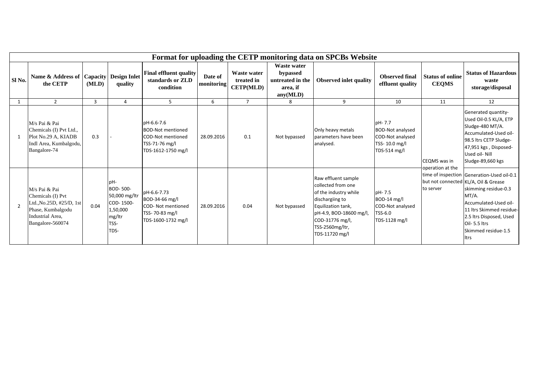|                |                                                                                                                             |                |                                                                                     |                                                                                                            |                       |                                               |                                                                            | Format for uploading the CETP monitoring data on SPCBs Website                                                                                                                                 |                                                                                        |                                         |                                                                                                                                                                                                                                                    |
|----------------|-----------------------------------------------------------------------------------------------------------------------------|----------------|-------------------------------------------------------------------------------------|------------------------------------------------------------------------------------------------------------|-----------------------|-----------------------------------------------|----------------------------------------------------------------------------|------------------------------------------------------------------------------------------------------------------------------------------------------------------------------------------------|----------------------------------------------------------------------------------------|-----------------------------------------|----------------------------------------------------------------------------------------------------------------------------------------------------------------------------------------------------------------------------------------------------|
| Sl No.         | Name & Address of Capacity<br>the CETP                                                                                      | (MLD)          | <b>Design Inlet</b><br>quality                                                      | <b>Final effluent quality</b><br>standards or ZLD<br>condition                                             | Date of<br>monitoring | Waste water<br>treated in<br><b>CETP(MLD)</b> | <b>Waste water</b><br>bypassed<br>untreated in the<br>area, if<br>any(MLD) | <b>Observed final</b><br><b>Observed inlet quality</b><br>effluent quality                                                                                                                     |                                                                                        | <b>Status of online</b><br><b>CEQMS</b> | <b>Status of Hazardous</b><br>waste<br>storage/disposal                                                                                                                                                                                            |
|                | $\overline{2}$                                                                                                              | $\overline{3}$ | 4                                                                                   | .5                                                                                                         | 6                     | $\overline{7}$                                | 8                                                                          | 9                                                                                                                                                                                              | 10                                                                                     | 11                                      | 12                                                                                                                                                                                                                                                 |
|                | M/s Pai & Pai<br>Chemicals (I) Pvt Ltd.,<br>Plot No.29 A, KIADB<br>Indl Area, Kumbalgodu,<br>Bangalore-74                   | 0.3            |                                                                                     | pH-6.6-7.6<br><b>BOD-Not mentioned</b><br><b>COD-Not mentioned</b><br>TSS-71-76 mg/l<br>TDS-1612-1750 mg/l | 28.09.2016            | 0.1                                           | Not bypassed                                                               | Only heavy metals<br>parameters have been<br>analysed.                                                                                                                                         | pH-7.7<br><b>BOD-Not analysed</b><br>COD-Not analysed<br>TSS-10.0 mg/l<br>TDS-514 mg/l | <b>CEQMS</b> was in                     | Generated quantity-<br>Used Oil-0.5 KL/A, ETP<br>Sludge-480 MT/A.<br>Accumulated-Used oil-<br>98.5 ltrs CETP Sludge-<br>47,951 kgs, Disposed-<br>Used oil- Nill<br>Sludge-89,660 kgs                                                               |
| $\overline{2}$ | M/s Pai & Pai<br>Chemicals (I) Pvt<br>Ltd., No.25D, #25/D, 1st<br>Phase, Kumbalgodu<br>Industrial Area,<br>Bangalore-560074 | 0.04           | pH-<br>BOD-500-<br>50,000 mg/ltr<br>COD-1500-<br>1,50,000<br>mg/ltr<br>TSS-<br>TDS- | pH-6.6-7.73<br>BOD-34-66 mg/l<br>COD- Not mentioned<br>TSS-70-83 mg/l<br>TDS-1600-1732 mg/l                | 28.09.2016            | 0.04                                          | Not bypassed                                                               | Raw effluent sample<br>collected from one<br>of the industry while<br>dischargiing to<br>Equilization tank,<br>pH-4.9, BOD-18600 mg/l,<br>COD-31776 mg/l,<br>TSS-2560mg/ltr,<br>TDS-11720 mg/l | pH-7.5<br>$BOD-14$ mg/l<br><b>COD-Not analysed</b><br>TSS-6.0<br>TDS-1128 mg/l         | operation at the<br>to server           | time of inspection Generation-Used oil-0.1<br>but not connected KL/A, Oil & Grease<br>skimming residue-0.3<br>MT/A.<br>Accumulated-Used oil-<br>11 Itrs Skimmed residue-<br>2.5 Itrs Disposed, Used<br>Oil-5.5 ltrs<br>Skimmed residue-1.5<br>ltrs |